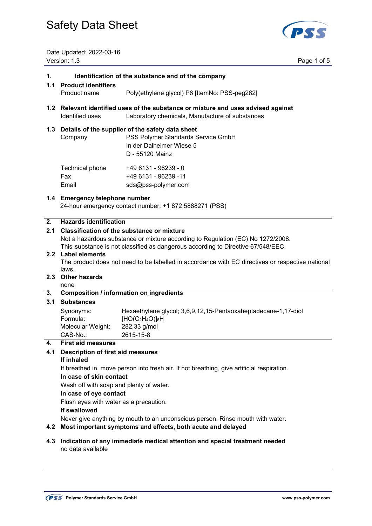

Date Updated: 2022-03-16 Version: 1.3 Page 1 of 5

#### **1. Identification of the substance and of the company**

#### **1.1 Product identifiers**

- Product name Poly(ethylene glycol) P6 [ItemNo: PSS-peg282]
- **1.2 Relevant identified uses of the substance or mixture and uses advised against**  Identified uses Laboratory chemicals, Manufacture of substances

#### **1.3 Details of the supplier of the safety data sheet**

 Company PSS Polymer Standards Service GmbH In der Dalheimer Wiese 5 D - 55120 Mainz  $Technical phone$   $+49.6131.06239.0$ 

| <b>I CUTTING PITOTIC</b> | T49 U I J I - 902 J 9 - U |
|--------------------------|---------------------------|
| Fax                      | +49 6131 - 96239 -11      |
| Email                    | sds@pss-polymer.com       |

#### **1.4 Emergency telephone number**

24-hour emergency contact number: +1 872 5888271 (PSS)

#### **2. Hazards identification**

#### **2.1 Classification of the substance or mixture**

Not a hazardous substance or mixture according to Regulation (EC) No 1272/2008.

This substance is not classified as dangerous according to Directive 67/548/EEC.

#### **2.2 Label elements**

 The product does not need to be labelled in accordance with EC directives or respective national laws.

#### **2.3 Other hazards**

none

#### **3. Composition / information on ingredients**

#### **3.1 Substances**

| Synonyms:         | Hexaethylene glycol; 3,6,9,12,15-Pentaoxaheptadecane-1,17-diol |
|-------------------|----------------------------------------------------------------|
| Formula:          | $[HO(C2H4O)]6H$                                                |
| Molecular Weight: | 282,33 g/mol                                                   |
| CAS-No.:          | 2615-15-8                                                      |

#### **4. First aid measures**

#### **4.1 Description of first aid measures**

#### **If inhaled**

If breathed in, move person into fresh air. If not breathing, give artificial respiration.

#### **In case of skin contact**

Wash off with soap and plenty of water.

### **In case of eye contact**

Flush eyes with water as a precaution.

#### **If swallowed**

Never give anything by mouth to an unconscious person. Rinse mouth with water.

#### **4.2 Most important symptoms and effects, both acute and delayed**

**4.3 Indication of any immediate medical attention and special treatment needed**  no data available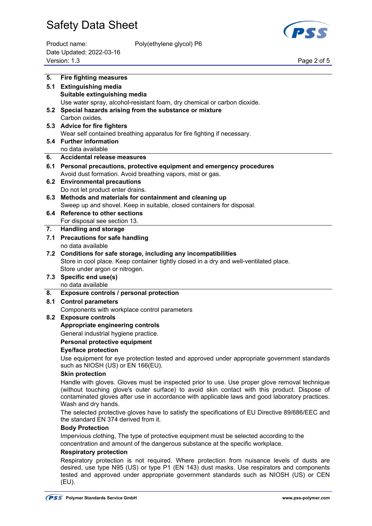

| Product name:            | Poly(ethylene glycol) P6 |             |
|--------------------------|--------------------------|-------------|
| Date Updated: 2022-03-16 |                          |             |
| Version: 1.3             |                          | Page 2 of 5 |

Poly(ethylene glycol) P6

| 5.  | <b>Fire fighting measures</b>                                                                                          |
|-----|------------------------------------------------------------------------------------------------------------------------|
|     | 5.1 Extinguishing media                                                                                                |
|     | Suitable extinguishing media                                                                                           |
|     | Use water spray, alcohol-resistant foam, dry chemical or carbon dioxide.                                               |
| 5.2 | Special hazards arising from the substance or mixture                                                                  |
|     | Carbon oxides.                                                                                                         |
|     | 5.3 Advice for fire fighters                                                                                           |
|     | Wear self contained breathing apparatus for fire fighting if necessary.                                                |
|     | 5.4 Further information                                                                                                |
|     | no data available                                                                                                      |
| 6.  | <b>Accidental release measures</b>                                                                                     |
|     | 6.1 Personal precautions, protective equipment and emergency procedures                                                |
|     | Avoid dust formation. Avoid breathing vapors, mist or gas.                                                             |
|     | 6.2 Environmental precautions                                                                                          |
|     | Do not let product enter drains.                                                                                       |
|     | 6.3 Methods and materials for containment and cleaning up                                                              |
|     | Sweep up and shovel. Keep in suitable, closed containers for disposal.                                                 |
|     | 6.4 Reference to other sections                                                                                        |
|     | For disposal see section 13.                                                                                           |
| 7.  | <b>Handling and storage</b>                                                                                            |
|     | 7.1 Precautions for safe handling                                                                                      |
|     | no data available                                                                                                      |
|     | 7.2 Conditions for safe storage, including any incompatibilities                                                       |
|     | Store in cool place. Keep container tightly closed in a dry and well-ventilated place.                                 |
|     | Store under argon or nitrogen.                                                                                         |
|     | 7.3 Specific end use(s)<br>no data available                                                                           |
| 8.  | Exposure controls / personal protection                                                                                |
|     |                                                                                                                        |
| 8.1 | <b>Control parameters</b>                                                                                              |
|     | Components with workplace control parameters<br>8.2 Exposure controls                                                  |
|     | Appropriate engineering controls                                                                                       |
|     | General industrial hygiene practice.                                                                                   |
|     | Personal protective equipment                                                                                          |
|     | <b>Eye/face protection</b>                                                                                             |
|     | Use equipment for eye protection tested and approved under appropriate government standards                            |
|     | such as NIOSH (US) or EN 166(EU).                                                                                      |
|     | <b>Skin protection</b>                                                                                                 |
|     | Handle with gloves. Gloves must be inspected prior to use. Use proper glove removal technique                          |
|     | (without touching glove's outer surface) to avoid skin contact with this product. Dispose of                           |
|     | contaminated gloves after use in accordance with applicable laws and good laboratory practices.<br>Wash and dry hands. |
|     | The selected protective gloves have to satisfy the specifications of EU Directive 89/686/EEC and                       |
|     | the standard EN 374 derived from it.                                                                                   |
|     | <b>Body Protection</b>                                                                                                 |
|     | Impervious clothing, The type of protective equipment must be selected according to the                                |
|     | concentration and amount of the dangerous substance at the specific workplace.                                         |
|     | <b>Respiratory protection</b>                                                                                          |
|     |                                                                                                                        |

 Respiratory protection is not required. Where protection from nuisance levels of dusts are desired, use type N95 (US) or type P1 (EN 143) dust masks. Use respirators and components tested and approved under appropriate government standards such as NIOSH (US) or CEN (EU).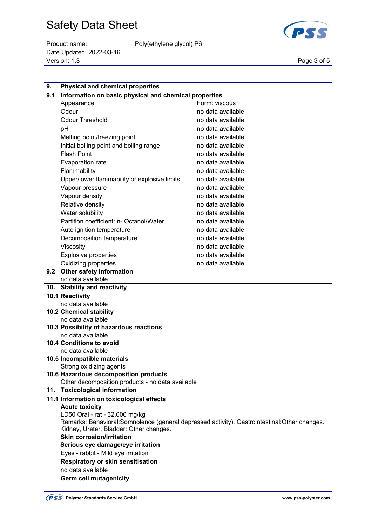Product name: Poly(ethylene glycol) P6 Date Updated: 2022-03-16 Version: 1.3 Page 3 of 5



| 9.  | <b>Physical and chemical properties</b>                                                      |                   |  |
|-----|----------------------------------------------------------------------------------------------|-------------------|--|
| 9.1 | Information on basic physical and chemical properties                                        |                   |  |
|     | Appearance                                                                                   | Form: viscous     |  |
|     | Odour                                                                                        | no data available |  |
|     | <b>Odour Threshold</b>                                                                       | no data available |  |
|     | pH                                                                                           | no data available |  |
|     | Melting point/freezing point                                                                 | no data available |  |
|     | Initial boiling point and boiling range                                                      | no data available |  |
|     | <b>Flash Point</b>                                                                           | no data available |  |
|     | Evaporation rate                                                                             | no data available |  |
|     | Flammability                                                                                 | no data available |  |
|     | Upper/lower flammability or explosive limits                                                 | no data available |  |
|     | Vapour pressure                                                                              | no data available |  |
|     | Vapour density                                                                               | no data available |  |
|     | Relative density                                                                             | no data available |  |
|     | Water solubility                                                                             | no data available |  |
|     | Partition coefficient: n- Octanol/Water                                                      | no data available |  |
|     | Auto ignition temperature                                                                    | no data available |  |
|     | Decomposition temperature                                                                    | no data available |  |
|     | Viscosity                                                                                    | no data available |  |
|     | <b>Explosive properties</b>                                                                  | no data available |  |
|     | Oxidizing properties                                                                         | no data available |  |
|     | 9.2 Other safety information                                                                 |                   |  |
|     | no data available                                                                            |                   |  |
|     |                                                                                              |                   |  |
|     | 10. Stability and reactivity                                                                 |                   |  |
|     | 10.1 Reactivity                                                                              |                   |  |
|     | no data available                                                                            |                   |  |
|     | <b>10.2 Chemical stability</b>                                                               |                   |  |
|     | no data available                                                                            |                   |  |
|     | 10.3 Possibility of hazardous reactions                                                      |                   |  |
|     | no data available                                                                            |                   |  |
|     | <b>10.4 Conditions to avoid</b>                                                              |                   |  |
|     | no data available                                                                            |                   |  |
|     | 10.5 Incompatible materials                                                                  |                   |  |
|     | Strong oxidizing agents                                                                      |                   |  |
|     | 10.6 Hazardous decomposition products                                                        |                   |  |
|     | Other decomposition products - no data available<br>11. Toxicological information            |                   |  |
|     | 11.1 Information on toxicological effects                                                    |                   |  |
|     | <b>Acute toxicity</b>                                                                        |                   |  |
|     | LD50 Oral - rat - 32.000 mg/kg                                                               |                   |  |
|     | Remarks: Behavioral:Somnolence (general depressed activity). Gastrointestinal:Other changes. |                   |  |
|     | Kidney, Ureter, Bladder: Other changes.                                                      |                   |  |
|     | <b>Skin corrosion/irritation</b>                                                             |                   |  |
|     | Serious eye damage/eye irritation                                                            |                   |  |
|     | Eyes - rabbit - Mild eye irritation                                                          |                   |  |
|     | Respiratory or skin sensitisation                                                            |                   |  |
|     | no data available<br>Germ cell mutagenicity                                                  |                   |  |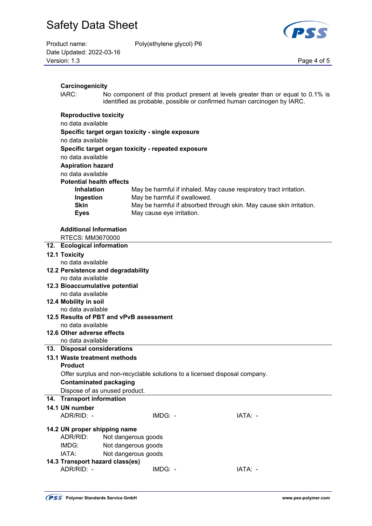| Product name:            |  |
|--------------------------|--|
| Date Updated: 2022-03-16 |  |
| Version: $1.3$           |  |

Poly(ethylene glycol) P6

Page 4 of 5

| Carcinogenicity                                                            |                                         |                                                    |                                                                                                                                                            |
|----------------------------------------------------------------------------|-----------------------------------------|----------------------------------------------------|------------------------------------------------------------------------------------------------------------------------------------------------------------|
| IARC:                                                                      |                                         |                                                    | No component of this product present at levels greater than or equal to 0.1% is<br>identified as probable, possible or confirmed human carcinogen by IARC. |
| <b>Reproductive toxicity</b>                                               |                                         |                                                    |                                                                                                                                                            |
| no data available                                                          |                                         |                                                    |                                                                                                                                                            |
|                                                                            |                                         | Specific target organ toxicity - single exposure   |                                                                                                                                                            |
| no data available                                                          |                                         |                                                    |                                                                                                                                                            |
|                                                                            |                                         | Specific target organ toxicity - repeated exposure |                                                                                                                                                            |
| no data available                                                          |                                         |                                                    |                                                                                                                                                            |
|                                                                            |                                         |                                                    |                                                                                                                                                            |
| <b>Aspiration hazard</b>                                                   |                                         |                                                    |                                                                                                                                                            |
| no data available                                                          |                                         |                                                    |                                                                                                                                                            |
| <b>Potential health effects</b>                                            |                                         |                                                    |                                                                                                                                                            |
| <b>Inhalation</b>                                                          |                                         | May be harmful if swallowed.                       | May be harmful if inhaled. May cause respiratory tract irritation.                                                                                         |
| Ingestion<br><b>Skin</b>                                                   |                                         |                                                    | May be harmful if absorbed through skin. May cause skin irritation.                                                                                        |
| <b>Eyes</b>                                                                |                                         | May cause eye irritation.                          |                                                                                                                                                            |
|                                                                            |                                         |                                                    |                                                                                                                                                            |
| <b>Additional Information</b>                                              |                                         |                                                    |                                                                                                                                                            |
| RTECS: MM3670000                                                           |                                         |                                                    |                                                                                                                                                            |
| 12. Ecological information                                                 |                                         |                                                    |                                                                                                                                                            |
| <b>12.1 Toxicity</b>                                                       |                                         |                                                    |                                                                                                                                                            |
| no data available                                                          |                                         |                                                    |                                                                                                                                                            |
|                                                                            |                                         |                                                    |                                                                                                                                                            |
| 12.2 Persistence and degradability<br>no data available                    |                                         |                                                    |                                                                                                                                                            |
| 12.3 Bioaccumulative potential                                             |                                         |                                                    |                                                                                                                                                            |
| no data available                                                          |                                         |                                                    |                                                                                                                                                            |
| 12.4 Mobility in soil                                                      |                                         |                                                    |                                                                                                                                                            |
| no data available                                                          |                                         |                                                    |                                                                                                                                                            |
|                                                                            | 12.5 Results of PBT and vPvB assessment |                                                    |                                                                                                                                                            |
| no data available                                                          |                                         |                                                    |                                                                                                                                                            |
| 12.6 Other adverse effects                                                 |                                         |                                                    |                                                                                                                                                            |
| no data available                                                          |                                         |                                                    |                                                                                                                                                            |
| 13. Disposal considerations                                                |                                         |                                                    |                                                                                                                                                            |
| 13.1 Waste treatment methods                                               |                                         |                                                    |                                                                                                                                                            |
| <b>Product</b>                                                             |                                         |                                                    |                                                                                                                                                            |
| Offer surplus and non-recyclable solutions to a licensed disposal company. |                                         |                                                    |                                                                                                                                                            |
| <b>Contaminated packaging</b>                                              |                                         |                                                    |                                                                                                                                                            |
|                                                                            | Dispose of as unused product.           |                                                    |                                                                                                                                                            |
| 14. Transport information                                                  |                                         |                                                    |                                                                                                                                                            |
| 14.1 UN number                                                             |                                         |                                                    |                                                                                                                                                            |
| ADR/RID: -                                                                 |                                         | IMDG: -                                            | IATA: -                                                                                                                                                    |
|                                                                            |                                         |                                                    |                                                                                                                                                            |
| 14.2 UN proper shipping name                                               |                                         |                                                    |                                                                                                                                                            |
| ADR/RID:                                                                   | Not dangerous goods                     |                                                    |                                                                                                                                                            |
| IMDG:                                                                      | Not dangerous goods                     |                                                    |                                                                                                                                                            |
| IATA:                                                                      | Not dangerous goods                     |                                                    |                                                                                                                                                            |
| 14.3 Transport hazard class(es)                                            |                                         |                                                    |                                                                                                                                                            |
| ADR/RID: -                                                                 |                                         | IMDG: -                                            | IATA: -                                                                                                                                                    |